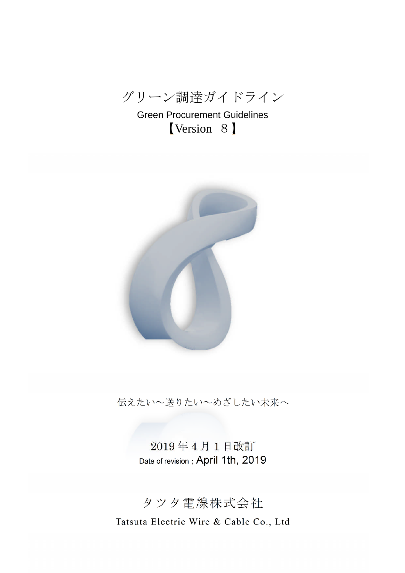グリーン調達ガイドライン

Green Procurement Guidelines 【Version 8】



伝えたい~送りたい~めざしたい未来へ

2019 年 4 月 1 日改訂 Date of revision; April 1th, 2019

# タツタ電線株式会社

Tatsuta Electric Wire & Cable Co., Ltd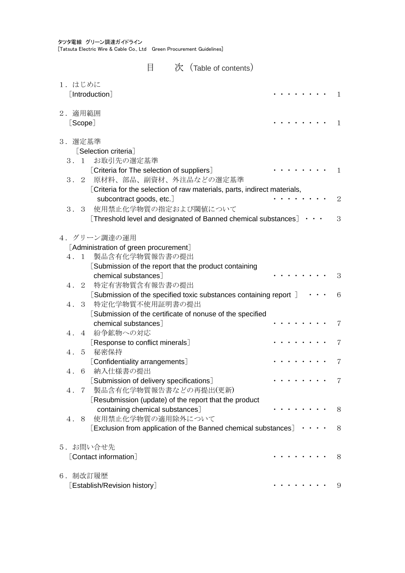タツタ電線 グリーン調達ガイドライン [Tatsuta Electric Wire & Cable Co., Ltd Green Procurement Guidelines]

| 目<br>次 | (Table of contents) |
|--------|---------------------|
|        |                     |

| 1. はじめに<br>[Introduction]                                                                       | 1            |
|-------------------------------------------------------------------------------------------------|--------------|
| 2. 適用範囲<br>[Scope]                                                                              | $\mathbf{1}$ |
| 3. 選定基準                                                                                         |              |
| [Selection criteria]                                                                            |              |
| お取引先の選定基準<br>3. 1                                                                               |              |
| [Criteria for The selection of suppliers]<br>原材料、部品、副資材、外注品などの選定基準<br>3.2                       | $\mathbf{1}$ |
| [Criteria for the selection of raw materials, parts, indirect materials,                        |              |
| subcontract goods, etc.]                                                                        | 2            |
| 使用禁止化学物質の指定および閾値について<br>3.3                                                                     |              |
| [Threshold level and designated of Banned chemical substances]                                  | 3            |
| 4. グリーン調達の運用                                                                                    |              |
| [Administration of green procurement]                                                           |              |
| 製品含有化学物質報告書の提出<br>4. 1                                                                          |              |
| [Submission of the report that the product containing                                           |              |
| chemical substances <sup>1</sup>                                                                | 3            |
| 特定有害物質含有報告書の提出<br>4. 2                                                                          |              |
| [Submission of the specified toxic substances containing report ]<br>3 特定化学物質不使用証明書の提出<br>$4$ . | 6            |
| [Submission of the certificate of nonuse of the specified                                       |              |
| chemical substances]                                                                            | 7            |
| 4. 4 紛争鉱物への対応                                                                                   |              |
| [Response to conflict minerals]                                                                 | 7            |
| 秘密保持<br>4. 5<br>[Confidentiality arrangements]                                                  | 7            |
| 納入仕様書の提出<br>4.<br>- 6                                                                           |              |
| [Submission of delivery specifications]                                                         | 7            |
| 4. 7 製品含有化学物質報告書などの再提出(更新)                                                                      |              |
| [Resubmission (update) of the report that the product                                           |              |
| containing chemical substances]                                                                 | 8            |
| - 使用禁止化学物質の適用除外について<br>4.<br>8                                                                  |              |
| [Exclusion from application of the Banned chemical substances] $\cdots$                         | 8            |
| 5. お問い合せ先                                                                                       |              |
| [Contact information]                                                                           | 8            |
| 6. 制改訂履歴                                                                                        |              |
| [Establish/Revision history]                                                                    | 9            |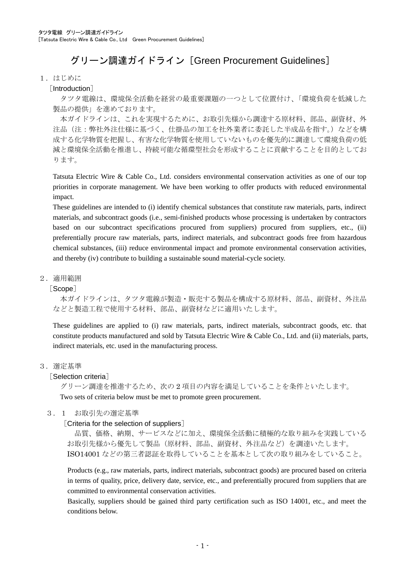# グリーン調達ガイドライン「Green Procurement Guidelines]

#### 1.はじめに

#### [Introduction]

タツタ電線は、環境保全活動を経営の最重要課題の一つとして位置付け、「環境負荷を低減した 製品の提供」を進めております。

本ガイドラインは、これを実現するために、お取引先様から調達する原材料、部品、副資材、外 注品(注:弊社外注仕様に基づく、仕掛品の加工を社外業者に委託した半成品を指す。)などを構 成する化学物質を把握し、有害な化学物質を使用していないものを優先的に調達して環境負荷の低 減と環境保全活動を推進し、持続可能な循環型社会を形成することに貢献することを目的としてお ります。

Tatsuta Electric Wire & Cable Co., Ltd. considers environmental conservation activities as one of our top priorities in corporate management. We have been working to offer products with reduced environmental impact.

These guidelines are intended to (i) identify chemical substances that constitute raw materials, parts, indirect materials, and subcontract goods (i.e., semi-finished products whose processing is undertaken by contractors based on our subcontract specifications procured from suppliers) procured from suppliers, etc., (ii) preferentially procure raw materials, parts, indirect materials, and subcontract goods free from hazardous chemical substances, (iii) reduce environmental impact and promote environmental conservation activities, and thereby (iv) contribute to building a sustainable sound material-cycle society.

#### 2.適用範囲

#### [Scope]

本ガイドラインは、タツタ電線が製造・販売する製品を構成する原材料、部品、副資材、外注品 などと製造工程で使用する材料、部品、副資材などに適用いたします。

These guidelines are applied to (i) raw materials, parts, indirect materials, subcontract goods, etc. that constitute products manufactured and sold by Tatsuta Electric Wire & Cable Co., Ltd. and (ii) materials, parts, indirect materials, etc. used in the manufacturing process.

#### 3.選定基準

#### [Selection criteria]

グリーン調達を推進するため、次の 2 項目の内容を満足していることを条件といたします。 Two sets of criteria below must be met to promote green procurement.

## 3.1 お取引先の選定基準

#### [Criteria for the selection of suppliers]

品質、価格、納期、サービスなどに加え、環境保全活動に積極的な取り組みを実践している お取引先様から優先して製品(原材料、部品、副資材、外注品など)を調達いたします。 ISO14001 などの第三者認証を取得していることを基本として次の取り組みをしていること。

Products (e.g., raw materials, parts, indirect materials, subcontract goods) are procured based on criteria in terms of quality, price, delivery date, service, etc., and preferentially procured from suppliers that are committed to environmental conservation activities.

Basically, suppliers should be gained third party certification such as ISO 14001, etc., and meet the conditions below.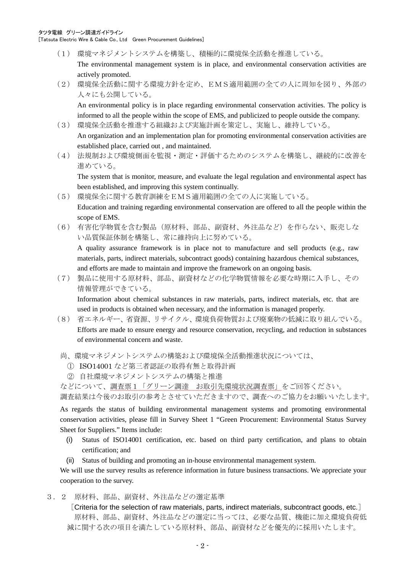タツタ電線 グリーン調達ガイドライン [Tatsuta Electric Wire & Cable Co., Ltd Green Procurement Guidelines]

- (1) 環境マネジメントシステムを構築し、積極的に環境保全活動を推進している。 The environmental management system is in place, and environmental conservation activities are actively promoted.
- (2) 環境保全活動に関する環境方針を定め、EMS適用範囲の全ての人に周知を図り、外部の 人々にも公開している。

An environmental policy is in place regarding environmental conservation activities. The policy is informed to all the people within the scope of EMS, and publicized to people outside the company.

- (3) 環境保全活動を推進する組織および実施計画を策定し、実施し、維持している。 An organization and an implementation plan for promoting environmental conservation activities are established place, carried out , and maintained.
- (4) 法規制および環境側面を監視・測定・評価するためのシステムを構築し、継続的に改善を 進めている。

The system that is monitor, measure, and evaluate the legal regulation and environmental aspect has been established, and improving this system continually.

- (5) 環境保全に関する教育訓練をEMS適用範囲の全ての人に実施している。 Education and training regarding environmental conservation are offered to all the people within the scope of EMS.
- (6) 有害化学物質を含む製品(原材料、部品、副資材、外注品など)を作らない、販売しな い品質保証体制を構築し、常に維持向上に努めている。

A quality assurance framework is in place not to manufacture and sell products (e.g., raw materials, parts, indirect materials, subcontract goods) containing hazardous chemical substances, and efforts are made to maintain and improve the framework on an ongoing basis.

(7) 製品に使用する原材料、部品、副資材などの化学物質情報を必要な時期に入手し、その 情報管理ができている。

Information about chemical substances in raw materials, parts, indirect materials, etc. that are used in products is obtained when necessary, and the information is managed properly.

- (8) 省エネルギー、省資源、リサイクル、環境負荷物質および廃棄物の低減に取り組んでいる。 Efforts are made to ensure energy and resource conservation, recycling, and reduction in substances of environmental concern and waste.
- 尚、環境マネジメントシステムの構築および環境保全活動推進状況については、
	- ① ISO14001 など第三者認証の取得有無と取得計画
	- ② 自社環境マネジメントシステムの構築と推進

などについて、調査票1「グリーン調達 お取引先環境状況調査票」をご回答ください。

調査結果は今後のお取引の参考とさせていただきますので、調査へのご協力をお願いいたします。

As regards the status of building environmental management systems and promoting environmental conservation activities, please fill in Survey Sheet 1 "Green Procurement: Environmental Status Survey Sheet for Suppliers." Items include:

- (i) Status of ISO14001 certification, etc. based on third party certification, and plans to obtain certification; and
- (ii) Status of building and promoting an in-house environmental management system.

We will use the survey results as reference information in future business transactions. We appreciate your cooperation to the survey.

3.2 原材料、部品、副資材、外注品などの選定基準

[Criteria for the selection of raw materials, parts, indirect materials, subcontract goods, etc.] 原材料、部品、副資材、外注品などの選定に当っては、必要な品質、機能に加え環境負荷低 減に関する次の項目を満たしている原材料、部品、副資材などを優先的に採用いたします。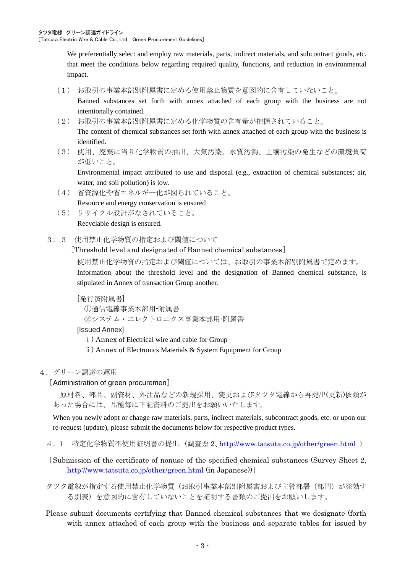We preferentially select and employ raw materials, parts, indirect materials, and subcontract goods, etc. that meet the conditions below regarding required quality, functions, and reduction in environmental impact.

(1) お取引の事業本部別附属書に定める使用禁止物質を意図的に含有していないこと。

Banned substances set forth with annex attached of each group with the business are not intentionally contained.

- (2) お取引の事業本部別附属書に定める化学物質の含有量が把握されていること。 The content of chemical substances set forth with annex attached of each group with the business is identified.
- (3) 使用、廃棄に当り化学物質の抽出、大気汚染、水質汚濁、土壌汚染の発生などの環境負荷 が低いこと。

Environmental impact attributed to use and disposal (e.g., extraction of chemical substances; air, water, and soil pollution) is low.

- (4) 省資源化や省エネルギー化が図られていること。 Resource and energy conservation is ensured
- (5) リサイクル設計がなされていること。 Recyclable design is ensured.
- 3.3 使用禁止化学物質の指定および閾値について

[Threshold level and designated of Banned chemical substances]

使用禁止化学物質の指定および閾値については、お取引の事業本部別附属書で定めます。 Information about the threshold level and the designation of Banned chemical substance, is stipulated in Annex of transaction Group another.

[発行済附属書]

①通信電線事業本部用-附属書

②システム・エレクトロニクス事業本部用-附属書

[Issued Annex]

- ⅰ) Annex of Electrical wire and cable for Group
- ⅱ) Annex of Electronics Materials & System Equipment for Group
- 4.グリーン調達の運用

[Administration of green procuremen]

原材料、部品、副資材、外注品などの新規採用、変更およびタツタ電線から再提出(更新)依頼が あった場合には、品種毎に下記資料のご提出をお願いいたします。

When you newly adopt or change raw materials, parts, indirect materials, subcontract goods, etc. or upon our re-request (update), please submit the documents below for respective product types.

4. 1 特定化学物質不使用証明書の提出 (調査票 2、http://www.tatsuta.co.jp/other/green.html)

[Submission of the certificate of nonuse of the specified chemical substances (Survey Sheet 2, http://www.tatsuta.co.jp/other/green.html (in Japanese))]

タツタ電線が指定する使用禁止化学物質(お取引事業本部別附属書および主管部署(部門)が発効す る別表)を意図的に含有していないことを証明する書類のご提出をお願いします。

Please submit documents certifying that Banned chemical substances that we designate (forth with annex attached of each group with the business and separate tables for issued by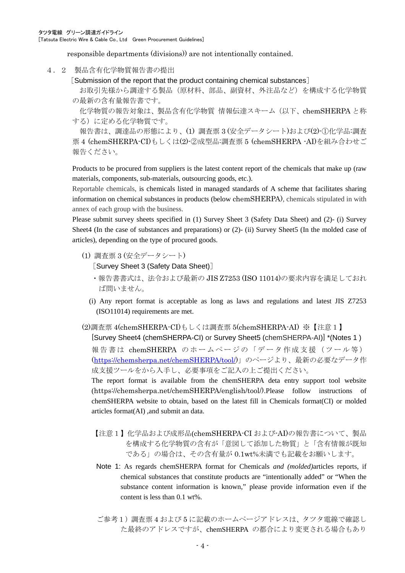responsible departments (divisions)) are not intentionally contained.

- 4.2 製品含有化学物質報告書の提出
	- [Submission of the report that the product containing chemical substances]

お取引先様から調達する製品(原材料、部品、副資材、外注品など)を構成する化学物質 の最新の含有量報告書です。

化学物質の報告対象は、製品含有化学物質 情報伝達スキーム(以下、chemSHERPA と称 する)に定める化学物質です。

報告書は、調達品の形態により、(1) 調査票 3 (安全データシート)および(2)-①化学品:調査 票 4 (chemSHERPA-CI)もしくは(2)-②成型品:調査票 5 (chemSHERPA -AI)を組み合わせご 報告ください。

Products to be procured from suppliers is the latest content report of the chemicals that make up (raw materials, components, sub-materials, outsourcing goods, etc.).

Reportable chemicals, is chemicals listed in managed standards of A scheme that facilitates sharing information on chemical substances in products (below chemSHERPA), chemicals stipulated in with annex of each group with the business.

Please submit survey sheets specified in (1) Survey Sheet 3 (Safety Data Sheet) and (2)- (i) Survey Sheet4 (In the case of substances and preparations) or (2)- (ii) Survey Sheet5 (In the molded case of articles), depending on the type of procured goods.

(1) 調査票 3 (安全データシート)

[Survey Sheet 3 (Safety Data Sheet)]

- ・報告書書式は、法令および最新の JIS Z7253 (ISO 11014)の要求内容を満足しておれ ば問いません。
- (i) Any report format is acceptable as long as laws and regulations and latest JIS Z7253 (ISO11014) requirements are met.

(2)調査票 4(chemSHERPA-CI)もしくは調査票 5(chemSHERPA-AI) ※【注意1】 [Survey Sheet4 (chemSHERPA-CI) or Survey Sheet5 (chemSHERPA-AI)] \*(Notes 1 )

報告書は chemSHERPA のホームページの「データ作成支援(ツール等) (https://chemsherpa.net/chemSHERPA/tool/)」のページより、最新の必要なデータ作 成支援ツールをから入手し、必要事項をご記入の上ご提出ください。

The report format is available from the chemSHERPA deta entry support tool website (https://chemsherpa.net/chemSHERPA/english/tool/).Please follow instructions of chemSHERPA website to obtain, based on the latest fill in Chemicals format(CI) or molded articles format(AI) ,and submit an data.

- 【注意1】化学品および成形品(chemSHERPA-CI および-AI)の報告書について、製品 を構成する化学物質の含有が「意図して添加した物質」と「含有情報が既知 である」の場合は、その含有量が 0.1wt%未満でも記載をお願いします。
- Note 1: As regards chemSHERPA format for Chemicals *and (molded)*articles reports, if chemical substances that constitute products are "intentionally added" or "When the substance content information is known," please provide information even if the content is less than 0.1 wt%.
- ご参考1)調査票4および5に記載のホームページアドレスは、タツタ電線で確認し た最終のアドレスですが、chemSHERPA の都合により変更される場合もあり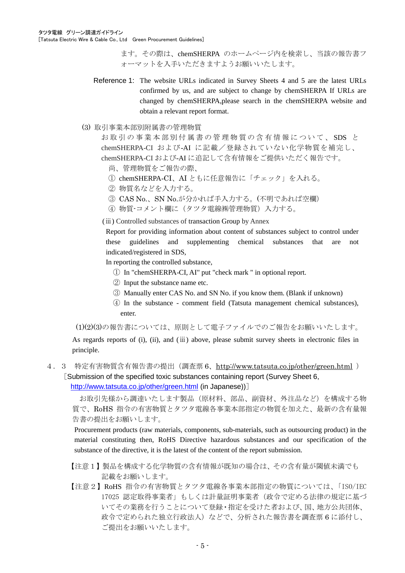[Tatsuta Electric Wire & Cable Co., Ltd Green Procurement Guidelines]

ます。その際は、chemSHERPA のホームページ内を検索し、当該の報告書フ ォーマットを入手いただきますようお願いいたします。

- Reference 1: The website URLs indicated in Survey Sheets 4 and 5 are the latest URLs confirmed by us, and are subject to change by chemSHERPA If URLs are changed by chemSHERPA,please search in the chemSHERPA website and obtain a relevant report format.
- (3) 取引事業本部別附属書の管理物質

お 取 引 の 事 業 本 部 別 付 属 書 の 管 理 物 質 の 含 有 情 報 に つ い て 、 SDS と chemSHERPA-CI および-AI に記載/登録されていない化学物質を補完し、 chemSHERPA-CI および-AI に追記して含有情報をご提供いただく報告です。

- 尚、管理物質をご報告の際、
- ① chemSHERPA-CI、AI ともに任意報告に「チェック」を入れる。
- ② 物質名などを入力する。
- ③ CAS No.、SN No.が分かれば手入力する。(不明であれば空欄)
- ④ 物質-コメント欄に(タツタ電線㈱管理物質)入力する。

(ⅲ) Controlled substances of transaction Group by Annex

Report for providing information about content of substances subject to control under these guidelines and supplementing chemical substances that are not indicated/registered in SDS,

In reporting the controlled substance,

- ① In "chemSHERPA-CI, AI" put "check mark " in optional report.
- ② Input the substance name etc.
- ③ Manually enter CAS No. and SN No. if you know them. (Blank if unknown)
- ④ In the substance comment field (Tatsuta management chemical substances), enter.

(1)(2)(3)の報告書については、原則として電子ファイルでのご報告をお願いいたします。

As regards reports of (i), (ii), and (ⅲ) above, please submit survey sheets in electronic files in principle.

4.3 特定有害物質含有報告書の提出(調査票 6、http://www.tatsuta.co.jp/other/green.html ) [Submission of the specified toxic substances containing report (Survey Sheet 6, http://www.tatsuta.co.jp/other/green.html (in Japanese))]

お取引先様から調達いたします製品(原材料、部品、副資材、外注品など)を構成する物 質で、RoHS 指令の有害物質とタツタ電線各事業本部指定の物質を加えた、最新の含有量報 告書の提出をお願いします。

Procurement products (raw materials, components, sub-materials, such as outsourcing product) in the material constituting then, RoHS Directive hazardous substances and our specification of the substance of the directive, it is the latest of the content of the report submission.

- 【注意1】製品を構成する化学物質の含有情報が既知の場合は、その含有量が閾値未満でも 記載をお願いします。
- 【注意2】RoHS 指令の有害物質とタツタ電線各事業本部指定の物質については、「ISO/IEC 17025 認定取得事業者」もしくは計量証明事業者(政令で定める法律の規定に基づ いてその業務を行うことについて登録・指定を受けた者および、国、地方公共団体、 政令で定められた独立行政法人)などで、分析された報告書を調査票 6 に添付し、 ご提出をお願いいたします。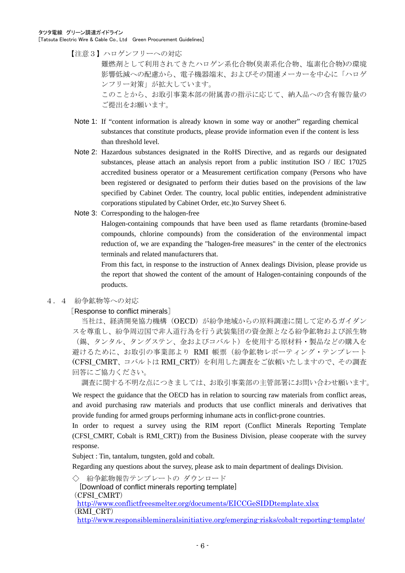タツタ電線 グリーン調達ガイドライン

[Tatsuta Electric Wire & Cable Co., Ltd Green Procurement Guidelines]

【注意3】ハロゲンフリーへの対応

難燃剤として利用されてきたハロゲン系化合物(臭素系化合物、塩素化合物)の環境 影響低減への配慮から、電子機器端末、およびその関連メーカーを中心に「ハロゲ ンフリー対策」が拡大しています。

このことから、お取引事業本部の附属書の指示に応じて、納入品への含有報告量の ご提出をお願います。

- Note 1: If "content information is already known in some way or another" regarding chemical substances that constitute products, please provide information even if the content is less than threshold level.
- Note 2: Hazardous substances designated in the RoHS Directive, and as regards our designated substances, please attach an analysis report from a public institution ISO / IEC 17025 accredited business operator or a Measurement certification company (Persons who have been registered or designated to perform their duties based on the provisions of the law specified by Cabinet Order. The country, local public entities, independent administrative corporations stipulated by Cabinet Order, etc.)to Survey Sheet 6.
- Note 3: Corresponding to the halogen-free

Halogen-containing compounds that have been used as flame retardants (bromine-based compounds, chlorine compounds) from the consideration of the environmental impact reduction of, we are expanding the "halogen-free measures" in the center of the electronics terminals and related manufacturers that.

From this fact, in response to the instruction of Annex dealings Division, please provide us the report that showed the content of the amount of Halogen-containing conpounds of the products.

#### 4.4 紛争鉱物等への対応

#### [Response to conflict minerals]

当社は、経済開発協力機構(OECD)が紛争地域からの原料調達に関して定めるガイダン スを尊重し、紛争周辺国で非人道行為を行う武装集団の資金源となる紛争鉱物および派生物 (錫、タンタル、タングステン、金およびコバルト)を使用する原材料・製品などの購入を 避けるために、お取引の事業部より RMI 帳票(紛争鉱物レポーティング・テンプレート (CFSI\_CMRT、コバルトは RMI\_CRT))を利用した調査をご依頼いたしますので、その調査 回答にご協力ください。

調査に関する不明な点につきましては、お取引事業部の主管部署にお問い合わせ願います。

We respect the guidance that the OECD has in relation to sourcing raw materials from conflict areas, and avoid purchasing raw materials and products that use conflict minerals and derivatives that provide funding for armed groups performing inhumane acts in conflict-prone countries.

In order to request a survey using the RIM report (Conflict Minerals Reporting Template (CFSI\_CMRT, Cobalt is RMI\_CRT)) from the Business Division, please cooperate with the survey response.

Subject : Tin, tantalum, tungsten, gold and cobalt.

Regarding any questions about the survey, please ask to main department of dealings Division.

◇ 紛争鉱物報告テンプレートの ダウンロード

[Download of conflict minerals reporting template]

(CFSI\_CMRT)

http://www.conflictfreesmelter.org/documents/EICCGeSIDDtemplate.xlsx

(RMI\_CRT)

http://www.responsiblemineralsinitiative.org/emerging-risks/cobalt-reporting-template/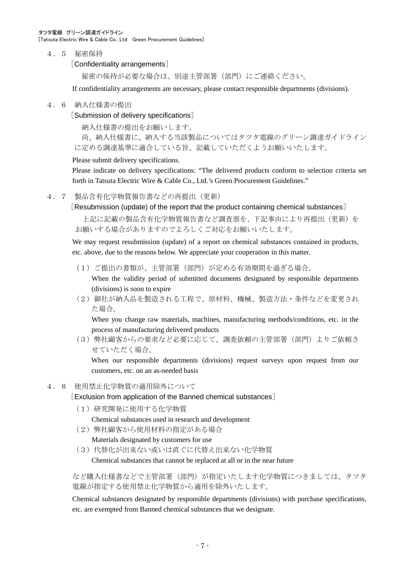4.5 秘密保持

[Confidentiality arrangements]

秘密の保持が必要な場合は、別途主管部署(部門)にご連絡ください。

If confidentiality arrangements are necessary, please contact responsible departments (divisions).

### 4.6 納入仕様書の提出

[Submission of delivery specifications]

納入仕様書の提出をお願いします。

尚、納入仕様書に、納入する当該製品についてはタツタ電線のグリーン調達ガイドライン に定める調達基準に適合している旨、記載していただくようお願いいたします。

Please submit delivery specifications.

Please indicate on delivery specifications: "The delivered products conform to selection criteria set forth in Tatsuta Electric Wire & Cable Co., Ltd.'s Green Procurement Guidelines."

4.7 製品含有化学物質報告書などの再提出(更新)

[Resubmission (update) of the report that the product containing chemical substances]

上記に記載の製品含有化学物質報告書など調査票を、下記事由により再提出(更新)を お願いする場合がありますのでよろしくご対応をお願いいたします。

We may request resubmission (update) of a report on chemical substances contained in products, etc. above, due to the reasons below. We appreciate your cooperation in this matter.

(1)ご提出の書類が、主管部署(部門)が定める有効期間を過ぎる場合。

When the validity period of submitted documents designated by responsible departments (divisions) is soon to expire

(2)御社が納入品を製造される工程で、原材料、機械、製造方法・条件などを変更され た場合。

When you change raw materials, machines, manufacturing methods/conditions, etc. in the process of manufacturing delivered products

(3)弊社顧客からの要求など必要に応じて、調査依頼の主管部署(部門)よりご依頼さ せていただく場合。

When our responsible departments (divisions) request surveys upon request from our customers, etc. on an as-needed basis

# 4.8 使用禁止化学物質の適用除外について

[Exclusion from application of the Banned chemical substances]

(1)研究開発に使用する化学物質

Chemical substances used in research and development

- (2)弊社顧客から使用材料の指定がある場合 Materials designated by customers for use
- (3)代替化が出来ない或いは直ぐに代替え出来ない化学物質

Chemical substances that cannot be replaced at all or in the near future

など購入仕様書などで主管部署(部門)が指定いたします化学物質につきましては、タツタ 電線が指定する使用禁止化学物質から適用を除外いたします。

Chemical substances designated by responsible departments (divisions) with purchase specifications, etc. are exempted from Banned chemical substances that we designate.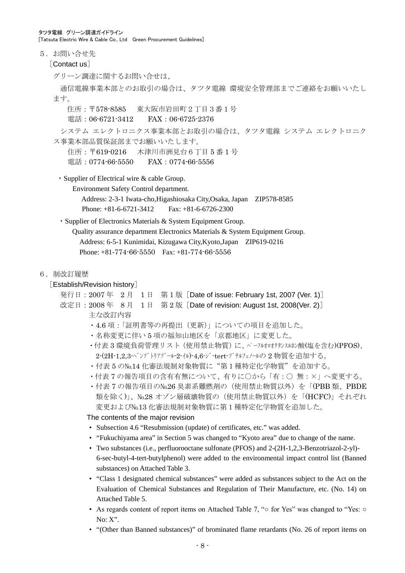タツタ電線 グリーン調達ガイドライン [Tatsuta Electric Wire & Cable Co., Ltd Green Procurement Guidelines]

5. お問い合せ先

[Contact us]

グリーン調達に関するお問い合せは、

通信電線事業本部とのお取引の場合は、タツタ電線 環境安全管理部までご連絡をお願いいたし ます。

住所:〒578-8585 東大阪市岩田町2丁目3番1号

電話:06-6721-3412 FAX:06-6725-2376

システム エレクトロニクス事業本部とお取引の場合は、タツタ電線 システム エレクトロニク ス事業本部品質保証部までお願いいたします。

住所:〒619-0216 木津川市洲見台6丁目 5 番 1 号 電話:0774-66-5550 FAX:0774-66-5556

・Supplier of Electrical wire & cable Group.

Environment Safety Control department.

Address: 2-3-1 Iwata-cho,Higashiosaka City,Osaka, Japan ZIP578-8585 Phone: +81-6-6721-3412 Fax: +81-6-6726-2300

・Supplier of Electronics Materials & System Equipment Group.

Quality assurance department Electronics Materials & System Equipment Group. Address: 6-5-1 Kunimidai, Kizugawa City,Kyoto,Japan ZIP619-0216 Phone: +81-774-66-5550 Fax: +81-774-66-5556

6.制改訂履歴

## [Establish/Revision history]

- 発行日:  $2007 2$  月 1 日 第 1 版 [Date of issue: February 1st, 2007 (Ver. 1)]
- 改定日: 2008年 8月 1日 第 2版 [Date of revision: August 1st, 2008(Ver. 2)] 主な改訂内容
	- ・4.6 項:「証明書等の再提出(更新)」についての項目を追加した。
	- ・名称変更に伴い 5 項の福知山地区を「京都地区」に変更した。
	- ・付表 3 環境負荷管理リスト (使用禁止物質)に、パーフルオロオクタンスルン酸(塩を含む)(PFOS)、 2-(2H-1,2,3-ベンゾトリアゾール-2-イル)-4,6-ジーtert-ブチルフェノールの2物質を追加する。
	- ・付表 5 の№14 化審法規制対象物質に"第1種特定化学物質"を追加する。
	- ・付表 7 の報告項目の含有有無について、有りに○から「有:○ 無:×」へ変更する。
	- 付表 7 の報告項目の№26 臭素系難燃剤の(使用禁止物質以外)を「(PBB 類、PBDE 類を除く)」、№28 オゾン層破壊物質の(使用禁止物質以外)を「(HCFC)」それぞれ 変更および№13 化審法規制対象物質に第1種特定化学物質を追加した。

#### The contents of the major revision

- Subsection 4.6 "Resubmission (update) of certificates, etc." was added.
- "Fukuchiyama area" in Section 5 was changed to "Kyoto area" due to change of the name.
- Two substances (i.e., perfluorooctane sulfonate (PFOS) and 2-(2H-1,2,3-Benzotriazol-2-yl)- 6-sec-butyl-4-tert-butylphenol) were added to the environmental impact control list (Banned substances) on Attached Table 3.
- "Class 1 designated chemical substances" were added as substances subject to the Act on the Evaluation of Chemical Substances and Regulation of Their Manufacture, etc. (No. 14) on Attached Table 5.
- As regards content of report items on Attached Table 7, "○ for Yes" was changed to "Yes: No: X".
- "(Other than Banned substances)" of brominated flame retardants (No. 26 of report items on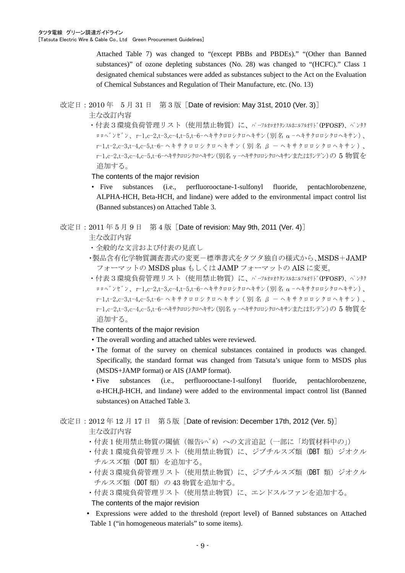Attached Table 7) was changed to "(except PBBs and PBDEs)." "(Other than Banned substances)" of ozone depleting substances (No. 28) was changed to "(HCFC)." Class 1 designated chemical substances were added as substances subject to the Act on the Evaluation of Chemical Substances and Regulation of Their Manufacture, etc. (No. 13)

# 改定日: 2010 年 5 月 31 日 第 3 版 [Date of revision: May 31st, 2010 (Ver. 3)]

主な改訂内容

・付表3環境負荷管理リスト(使用禁止物質)に、パーフルオロオクタンスルホエルフルオリド(PFOSF)、ペンタク ロロヘ ンセ ン、r-1,c-2,t-3,c-4,t-5,t-6-ヘキサクロロシクロヘキサン (別名  $\alpha$  -ヘキサクロロシクロヘキサン)、  $r-1,t-2,c-3,t-4,c-5,t-6- \sim \tilde{\tau}$  サクロロシクロヘキサン (別名  $\beta - \sim \tilde{\tau}$ サクロロシクロヘキサン)、 r-1,c-2,t-3,c-4,c-5,t-6-ヘキサクロロシクロヘキサン(別名γ-ヘキサクロロシクロヘキサンまたはリンデン)の 5 物質を 追加する。

The contents of the major revision

- Five substances (i.e., perfluorooctane-1-sulfonyl fluoride, pentachlorobenzene, ALPHA-HCH, Beta-HCH, and lindane) were added to the environmental impact control list (Banned substances) on Attached Table 3.
- 改定日: 2011 年 5 月 9 日 第 4 版 [Date of revision: May 9th, 2011 (Ver. 4)]
	- 主な改訂内容
	- ・全般的な文言および付表の見直し
	- ・製品含有化学物質調査書式の変更-標準書式をタツタ独自の様式から、MSDS+JAMP フォーマットの MSDS plus もしくは JAMP フォーマットの AIS に変更。
	- ·付表3環境負荷管理リスト(使用禁止物質)に、パーフルオロオクシスルホエルオリド(PFOSF)、ペンタク ロロヘ ンセ ン、r-1.c-2.t-3.c-4.t-5.t-6-ヘキサクロロシクロヘキサン (別名  $\alpha$  -ヘキサクロロシクロヘキサン)、  $r-1,t-2,c-3,t-4,c-5,t-6- \sim \pm \frac{t}{2}$ クロロシクロヘキサン (別名  $\beta - \sim \pm \frac{t}{2}$ クロロシクロヘキサン)、 r-1,c-2,t-3,c-4,c-5,t-6-ヘキサクロロシクロヘキサン(別名 γ-ヘキサクロロシクロヘキサンまたはリンデン)の5 物質を 追加する。

The contents of the major revision

- The overall wording and attached tables were reviewed.
- The format of the survey on chemical substances contained in products was changed. Specifically, the standard format was changed from Tatsuta's unique form to MSDS plus (MSDS+JAMP format) or AIS (JAMP format).
- Five substances (i.e., perfluorooctane-1-sulfonyl fluoride, pentachlorobenzene, α-HCH,β-HCH, and lindane) were added to the environmental impact control list (Banned substances) on Attached Table 3.
- 改定日: 2012年 12 月 17 日 第 5 版 [Date of revision: December 17th, 2012 (Ver. 5)] 主な改訂内容
	- ・付表1使用禁止物質の閾値(報告レベル)への文言追記(一部に「均質材料中の」)
	- ・付表1環境負荷管理リスト(使用禁止物質)に、ジブチルスズ類(DBT 類)ジオクル チルスズ類(DOT 類)を追加する。
	- ·付表3環境負荷管理リスト(使用禁止物質)に、ジブチルスズ類 (DBT 類) ジオクル チルスズ類 (DOT 類) の 43 物質を追加する。
	- ・付表3環境負荷管理リスト(使用禁止物質)に、エンドスルファンを追加する。 The contents of the major revision
	- Expressions were added to the threshold (report level) of Banned substances on Attached Table 1 ("in homogeneous materials" to some items).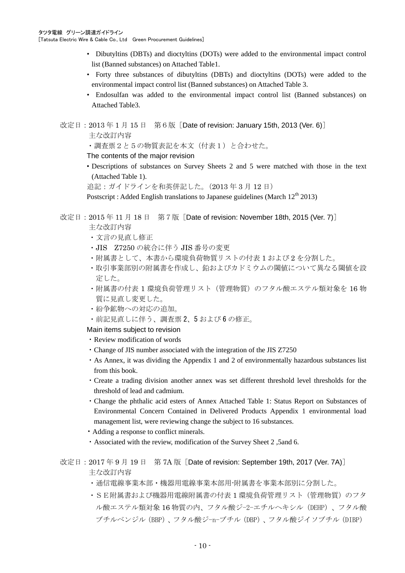- Dibutyltins (DBTs) and dioctyltins (DOTs) were added to the environmental impact control list (Banned substances) on Attached Table1.
- Forty three substances of dibutyltins (DBTs) and dioctyltins (DOTs) were added to the environmental impact control list (Banned substances) on Attached Table 3.
- Endosulfan was added to the environmental impact control list (Banned substances) on Attached Table3.
- 改定日: 2013 年 1 月 15 日 第 6 版 [Date of revision: January 15th, 2013 (Ver. 6)]

主な改訂内容

・調査票2と5の物質表記を本文(付表1)と合わせた。

The contents of the major revision

• Descriptions of substances on Survey Sheets 2 and 5 were matched with those in the text (Attached Table 1).

追記:ガイドラインを和英併記した。(2013 年 3 月 12 日)

Postscript : Added English translations to Japanese guidelines (March 12<sup>th</sup> 2013)

# 改定日: 2015 年 11 月 18 日 第 7 版 [Date of revision: November 18th, 2015 (Ver. 7)]

主な改訂内容

- ・文言の見直し修正
- ・JIS Z7250 の統合に伴う JIS 番号の変更
- ・附属書として、本書から環境負荷物質リストの付表 1 および 2 を分割した。
- ・取引事業部別の附属書を作成し、鉛およびカドミウムの閾値について異なる閾値を設 定した。
- ・附属書の付表 1 環境負荷管理リスト(管理物質)のフタル酸エステル類対象を 16 物 質に見直し変更した。
- ・紛争鉱物への対応の追加。
- ・前記見直しに伴う、調査票 2、5 および 6 の修正。

Main items subject to revision

- ・Review modification of words
- ・Change of JIS number associated with the integration of the JIS Z7250
- ・As Annex, it was dividing the Appendix 1 and 2 of environmentally hazardous substances list from this book.
- ・Create a trading division another annex was set different threshold level thresholds for the threshold of lead and cadmium.
- ・Change the phthalic acid esters of Annex Attached Table 1: Status Report on Substances of Environmental Concern Contained in Delivered Products Appendix 1 environmental load management list, were reviewing change the subject to 16 substances.
- Adding a response to conflict minerals.
- ・Associated with the review, modification of the Survey Sheet 2 ,5and 6.

改定日: 2017 年 9 月 19 日 第 7A 版 [Date of revision: September 19th, 2017 (Ver. 7A)] 主な改訂内容

- ・通信電線事業本部・機器用電線事業本部用-附属書を事業本部別に分割した。
- ・SE附属書および機器用電線附属書の付表 1 環境負荷管理リスト(管理物質)のフタ ル酸エステル類対象 16 物質の内、フタル酸ジ-2-エチルヘキシル(DEHP)、フタル酸 ブチルベンジル(BBP)、フタル酸ジ-n-ブチル(DBP)、フタル酸ジイソブチル(DIBP)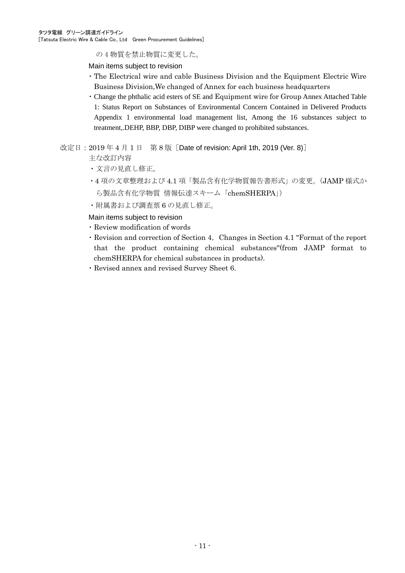の 4 物質を禁止物質に変更した。

Main items subject to revision

- ・The Electrical wire and cable Business Division and the Equipment Electric Wire Business Division,We changed of Annex for each business headquarters
- ・Change the phthalic acid esters of SE and Equipment wire for Group Annex Attached Table 1: Status Report on Substances of Environmental Concern Contained in Delivered Products Appendix 1 environmental load management list, Among the 16 substances subject to treatment,.DEHP, BBP, DBP, DIBP were changed to prohibited substances.

# 改定日: 2019年4月1日 第8版 [Date of revision: April 1th, 2019 (Ver. 8)]

主な改訂内容

- ・文言の見直し修正。
- ・4 項の文章整理および 4.1 項「製品含有化学物質報告書形式」の変更。(JAMP 様式か ら製品含有化学物質 情報伝達スキーム「chemSHERPA」)
- ・附属書および調査票 6 の見直し修正。

Main items subject to revision

- ・Review modification of words
- ・Revision and correction of Section 4,Changes in Section 4.1 "Format of the report that the product containing chemical substances"(from JAMP format to chemSHERPA for chemical substances in products).
- ・Revised annex and revised Survey Sheet 6.